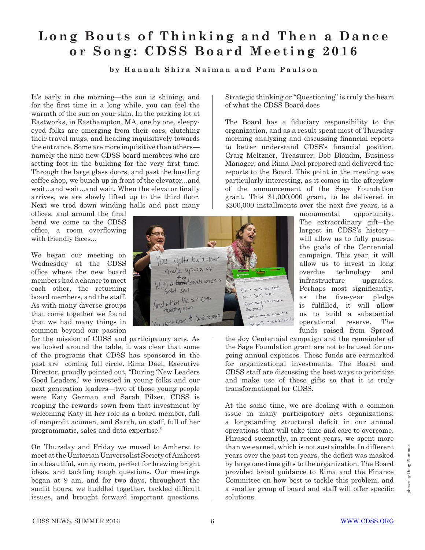## Long Bouts of Thinking and Then a Dance **or Song: CDSS Board Meeting 2016**

**by Hannah Shira Naiman and Pam Paulson**

It's early in the morning—the sun is shining, and for the first time in a long while, you can feel the warmth of the sun on your skin. In the parking lot at Eastworks, in Easthampton, MA, one by one, sleepyeyed folks are emerging from their cars, clutching their travel mugs, and heading inquisitively towards the entrance. Some are more inquisitive than others namely the nine new CDSS board members who are setting foot in the building for the very first time. Through the large glass doors, and past the bustling coffee shop, we bunch up in front of the elevator...and wait...and wait...and wait. When the elevator finally arrives, we are slowly lifted up to the third floor. Next we trod down winding halls and past many

offices, and around the final bend we come to the CDSS office, a room overflowing with friendly faces...

We began our meeting on Wednesday at the CDSS office where the new board members had a chance to meet each other, the returning board members, and the staff. As with many diverse groups that come together we found that we had many things in common beyond our passion

for the mission of CDSS and participatory arts. As we looked around the table, it was clear that some of the programs that CDSS has sponsored in the past are coming full circle. Rima Dael, Executive Director, proudly pointed out, "During 'New Leaders Good Leaders,' we invested in young folks and our next generation leaders—two of those young people were Katy German and Sarah Pilzer. CDSS is reaping the rewards sown from that investment by welcoming Katy in her role as a board member, full of nonprofit acumen, and Sarah, on staff, full of her programmatic, sales and data expertise."

On Thursday and Friday we moved to Amherst to meet at the Unitarian Universalist Society of Amherst in a beautiful, sunny room, perfect for brewing bright ideas, and tackling tough questions. Our meetings began at 9 am, and for two days, throughout the sunlit hours, we huddled together, tackled difficult issues, and brought forward important questions.



Strategic thinking or "Questioning" is truly the heart of what the CDSS Board does

The Board has a fiduciary responsibility to the organization, and as a result spent most of Thursday morning analyzing and discussing financial reports to better understand CDSS's financial position. Craig Meltzner, Treasurer; Bob Blondin, Business Manager; and Rima Dael prepared and delivered the reports to the Board. This point in the meeting was particularly interesting, as it comes in the afterglow of the announcement of the Sage Foundation grant. This \$1,000,000 grant, to be delivered in \$200,000 installments over the next five years, is a

> monumental opportunity. The extraordinary gift―the largest in CDSS's history― will allow us to fully pursue the goals of the Centennial campaign. This year, it will allow us to invest in long overdue technology and infrastructure upgrades. Perhaps most significantly, as the five-year pledge is fulfilled, it will allow us to build a substantial operational reserve. The funds raised from Spread

the Joy Centennial campaign and the remainder of the Sage Foundation grant are not to be used for ongoing annual expenses. These funds are earmarked for organizational investments. The Board and CDSS staff are discussing the best ways to prioritize and make use of these gifts so that it is truly transformational for CDSS.

At the same time, we are dealing with a common issue in many participatory arts organizations: a longstanding structural deficit in our annual operations that will take time and care to overcome. Phrased succinctly, in recent years, we spent more than we earned, which is not sustainable. In different years over the past ten years, the deficit was masked by large one-time gifts to the organization. The Board provided broad guidance to Rima and the Finance Committee on how best to tackle this problem, and a smaller group of board and staff will offer specific solutions.